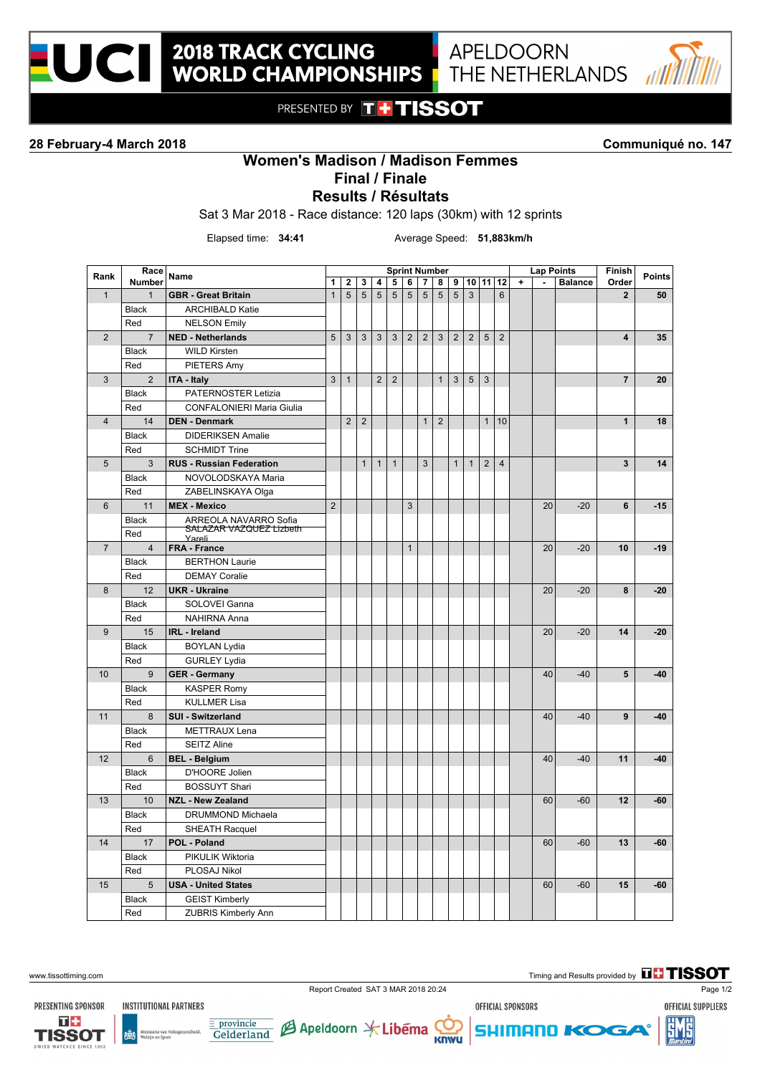

PRESENTED BY THTISSOT

### **28 February-4 March 2018 Communiqué no. 147**

# **Results / Résultats Women's Madison / Madison Femmes Final / Finale**

Sat 3 Mar 2018 - Race distance: 120 laps (30km) with 12 sprints

**2018 TRACK CYCLING<br>WORLD CHAMPIONSHIPS** 

Elapsed time: **34:41** Average Speed: **51,883km/h**

| Rank           | Race           | Name                                     | <b>Sprint Number</b><br><b>Lap Points</b> |                |                |                |                |                |                |                |                |                  |                |                | Finish    | <b>Points</b>  |                |                         |       |
|----------------|----------------|------------------------------------------|-------------------------------------------|----------------|----------------|----------------|----------------|----------------|----------------|----------------|----------------|------------------|----------------|----------------|-----------|----------------|----------------|-------------------------|-------|
|                | <b>Number</b>  |                                          | 1                                         | $\mathbf{2}$   | 3              | 4              | 5              | 6              | $\overline{7}$ | 8              |                | 9   10   11   12 |                |                | $\ddot{}$ | $\blacksquare$ | <b>Balance</b> | Order                   |       |
| $\mathbf{1}$   | $\mathbf{1}$   | <b>GBR</b> - Great Britain               | $\mathbf{1}$                              | 5              | 5              | 5              | 5              | $\sqrt{5}$     | $\sqrt{5}$     | $\sqrt{5}$     | 5              | 3                |                | $6\phantom{1}$ |           |                |                | $\overline{2}$          | 50    |
|                | <b>Black</b>   | <b>ARCHIBALD Katie</b>                   |                                           |                |                |                |                |                |                |                |                |                  |                |                |           |                |                |                         |       |
|                | Red            | <b>NELSON Emily</b>                      |                                           |                |                |                |                |                |                |                |                |                  |                |                |           |                |                |                         |       |
| $\overline{2}$ | $\overline{7}$ | <b>NED - Netherlands</b>                 | 5                                         | 3              | 3              | 3              | $\mathbf{3}$   | $\overline{2}$ | $\overline{2}$ | 3              | $\overline{2}$ | 2                | $\overline{5}$ | $\overline{2}$ |           |                |                | $\overline{\mathbf{4}}$ | 35    |
|                | <b>Black</b>   | <b>WILD Kirsten</b>                      |                                           |                |                |                |                |                |                |                |                |                  |                |                |           |                |                |                         |       |
|                | Red            | <b>PIETERS Amy</b>                       |                                           |                |                |                |                |                |                |                |                |                  |                |                |           |                |                |                         |       |
| 3              | $\overline{2}$ | <b>ITA - Italy</b>                       | 3                                         | $\mathbf{1}$   |                | $\overline{2}$ | $\overline{2}$ |                |                | $\mathbf{1}$   | $\mathbf{3}$   | $\sqrt{5}$       | $\mathbf{3}$   |                |           |                |                | $\overline{7}$          | 20    |
|                | <b>Black</b>   | PATERNOSTER Letizia                      |                                           |                |                |                |                |                |                |                |                |                  |                |                |           |                |                |                         |       |
|                | Red            | <b>CONFALONIERI Maria Giulia</b>         |                                           |                |                |                |                |                |                |                |                |                  |                |                |           |                |                |                         |       |
| $\overline{4}$ | 14             | <b>DEN - Denmark</b>                     |                                           | $\overline{2}$ | $\overline{2}$ |                |                |                | $\mathbf{1}$   | $\overline{2}$ |                |                  | $\mathbf{1}$   | 10             |           |                |                | $\mathbf{1}$            | 18    |
|                | <b>Black</b>   | <b>DIDERIKSEN Amalie</b>                 |                                           |                |                |                |                |                |                |                |                |                  |                |                |           |                |                |                         |       |
|                | Red            | <b>SCHMIDT Trine</b>                     |                                           |                |                |                |                |                |                |                |                |                  |                |                |           |                |                |                         |       |
| $\overline{5}$ | 3              | <b>RUS - Russian Federation</b>          |                                           |                | $\mathbf{1}$   | $\mathbf{1}$   | $\mathbf{1}$   |                | $\mathbf{3}$   |                | $\mathbf{1}$   | $\mathbf{1}$     | 2              | $\overline{4}$ |           |                |                | $\overline{\mathbf{3}}$ | 14    |
|                | <b>Black</b>   | NOVOLODSKAYA Maria                       |                                           |                |                |                |                |                |                |                |                |                  |                |                |           |                |                |                         |       |
|                | Red            | ZABELINSKAYA Olga                        |                                           |                |                |                |                |                |                |                |                |                  |                |                |           |                |                |                         |       |
| 6              | 11             | <b>MEX - Mexico</b>                      | $\overline{2}$                            |                |                |                |                | 3              |                |                |                |                  |                |                |           | 20             | $-20$          | 6                       | $-15$ |
|                | <b>Black</b>   | ARREOLA NAVARRO Sofia                    |                                           |                |                |                |                |                |                |                |                |                  |                |                |           |                |                |                         |       |
|                | Red            | <b>SALAZAR VAZQUEZ Lizbeth</b><br>Yareli |                                           |                |                |                |                |                |                |                |                |                  |                |                |           |                |                |                         |       |
| $\overline{7}$ | $\overline{4}$ | FRA - France                             |                                           |                |                |                |                | $\mathbf{1}$   |                |                |                |                  |                |                |           | 20             | $-20$          | 10                      | $-19$ |
|                | <b>Black</b>   | <b>BERTHON Laurie</b>                    |                                           |                |                |                |                |                |                |                |                |                  |                |                |           |                |                |                         |       |
|                | Red            | <b>DEMAY Coralie</b>                     |                                           |                |                |                |                |                |                |                |                |                  |                |                |           |                |                |                         |       |
| 8              | 12             | <b>UKR - Ukraine</b>                     |                                           |                |                |                |                |                |                |                |                |                  |                |                |           | 20             | $-20$          | 8                       | $-20$ |
|                | <b>Black</b>   | SOLOVEI Ganna                            |                                           |                |                |                |                |                |                |                |                |                  |                |                |           |                |                |                         |       |
|                | Red            | <b>NAHIRNA Anna</b>                      |                                           |                |                |                |                |                |                |                |                |                  |                |                |           |                |                |                         |       |
| 9              | 15             | <b>IRL</b> - Ireland                     |                                           |                |                |                |                |                |                |                |                |                  |                |                |           | 20             | $-20$          | 14                      | $-20$ |
|                | <b>Black</b>   | <b>BOYLAN Lydia</b>                      |                                           |                |                |                |                |                |                |                |                |                  |                |                |           |                |                |                         |       |
|                | Red            | <b>GURLEY Lydia</b>                      |                                           |                |                |                |                |                |                |                |                |                  |                |                |           |                |                |                         |       |
| 10             | 9              | <b>GER</b> - Germany                     |                                           |                |                |                |                |                |                |                |                |                  |                |                |           | 40             | $-40$          | 5                       | $-40$ |
|                | <b>Black</b>   | <b>KASPER Romy</b>                       |                                           |                |                |                |                |                |                |                |                |                  |                |                |           |                |                |                         |       |
|                | Red            | <b>KULLMER Lisa</b>                      |                                           |                |                |                |                |                |                |                |                |                  |                |                |           |                |                |                         |       |
| 11             | 8              | <b>SUI - Switzerland</b>                 |                                           |                |                |                |                |                |                |                |                |                  |                |                |           | 40             | $-40$          | 9                       | $-40$ |
|                | <b>Black</b>   | <b>METTRAUX Lena</b>                     |                                           |                |                |                |                |                |                |                |                |                  |                |                |           |                |                |                         |       |
|                | Red            | <b>SEITZ Aline</b>                       |                                           |                |                |                |                |                |                |                |                |                  |                |                |           |                |                |                         |       |
| 12             | $6\phantom{1}$ | <b>BEL - Belgium</b>                     |                                           |                |                |                |                |                |                |                |                |                  |                |                |           | 40             | $-40$          | 11                      | $-40$ |
|                | <b>Black</b>   | D'HOORE Jolien                           |                                           |                |                |                |                |                |                |                |                |                  |                |                |           |                |                |                         |       |
|                | Red            | <b>BOSSUYT Shari</b>                     |                                           |                |                |                |                |                |                |                |                |                  |                |                |           |                |                |                         |       |
| 13             | 10             | <b>NZL - New Zealand</b>                 |                                           |                |                |                |                |                |                |                |                |                  |                |                |           | 60             | $-60$          | 12                      | $-60$ |
|                | <b>Black</b>   | <b>DRUMMOND Michaela</b>                 |                                           |                |                |                |                |                |                |                |                |                  |                |                |           |                |                |                         |       |
|                | Red            | <b>SHEATH Racquel</b>                    |                                           |                |                |                |                |                |                |                |                |                  |                |                |           |                |                |                         |       |
| 14             | 17             | POL - Poland                             |                                           |                |                |                |                |                |                |                |                |                  |                |                |           | 60             | $-60$          | 13                      | $-60$ |
|                | <b>Black</b>   | PIKULIK Wiktoria                         |                                           |                |                |                |                |                |                |                |                |                  |                |                |           |                |                |                         |       |
|                | Red            | PLOSAJ Nikol                             |                                           |                |                |                |                |                |                |                |                |                  |                |                |           |                |                |                         |       |
| 15             | 5              | <b>USA - United States</b>               |                                           |                |                |                |                |                |                |                |                |                  |                |                |           | 60             | $-60$          | 15                      | $-60$ |
|                | <b>Black</b>   | <b>GEIST Kimberly</b>                    |                                           |                |                |                |                |                |                |                |                |                  |                |                |           |                |                |                         |       |
|                | Red            | <b>ZUBRIS Kimberly Ann</b>               |                                           |                |                |                |                |                |                |                |                |                  |                |                |           |                |                |                         |       |
|                |                |                                          |                                           |                |                |                |                |                |                |                |                |                  |                |                |           |                |                |                         |       |

OFFICIAL SPONSORS



**INSTITUTIONAL PARTNERS** 

 $\frac{1}{\sqrt{2}}\frac{1}{\sqrt{2}}$ 



www.tissottiming.com **The Contract of Contract of Contract of Contract of Contract of Contract of Contract of Contract of Contract of Contract of Contract of Contract of Contract of Contract of Contract of Contract of Cont** 

OFFICIAL SUPPLIERS